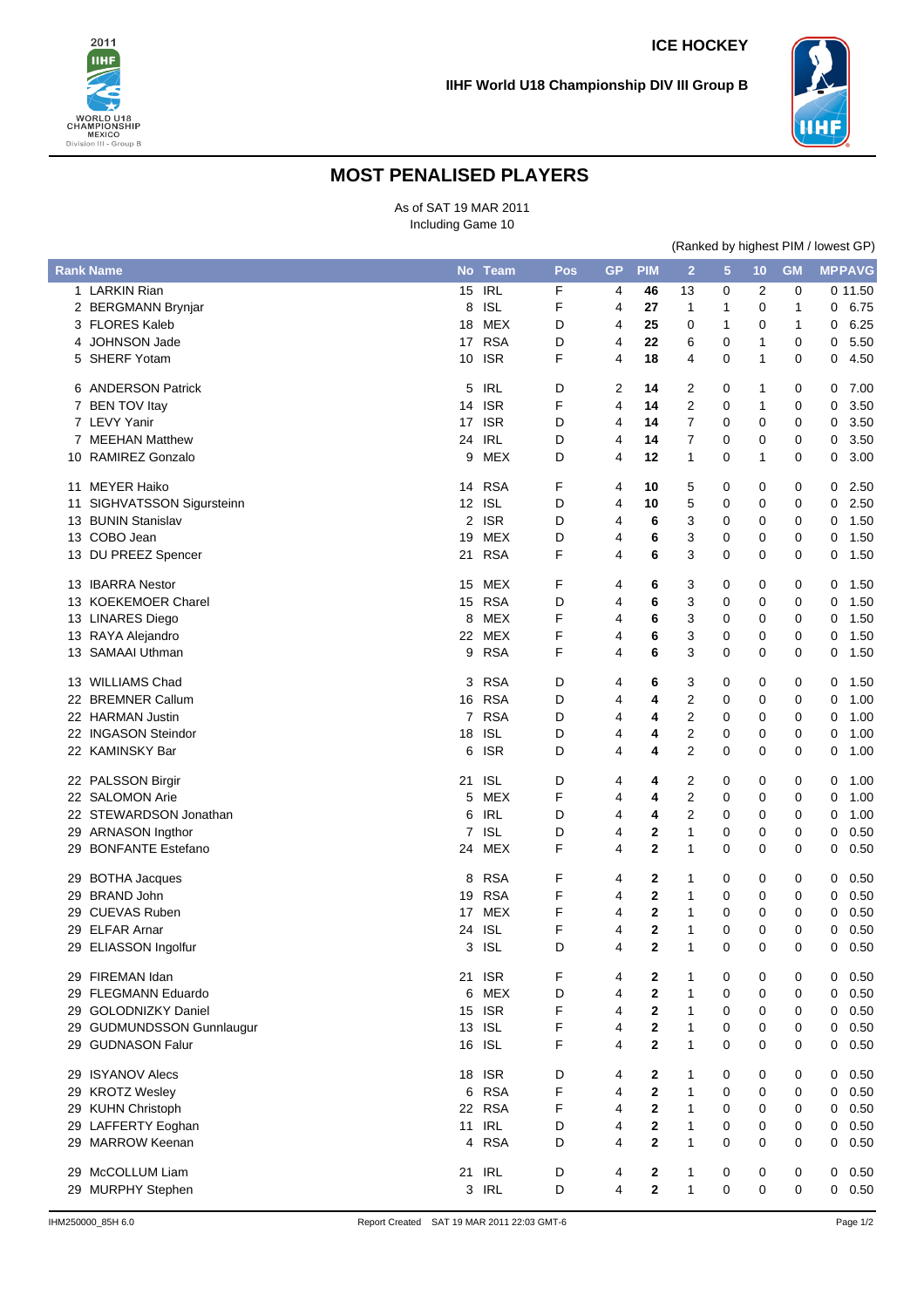



## **MOST PENALISED PLAYERS**

As of SAT 19 MAR 2011 Including Game 10

|  | (Ranked by highest PIM / lowest GP) |  |
|--|-------------------------------------|--|
|--|-------------------------------------|--|

|    | <b>Rank Name</b>          | <b>No</b> | <b>Team</b> | Pos | <b>GP</b>      | <b>PIM</b>     | $\overline{2}$          | $5\phantom{.0}$ | 10          | <b>GM</b> |              | <b>MPPAVG</b> |
|----|---------------------------|-----------|-------------|-----|----------------|----------------|-------------------------|-----------------|-------------|-----------|--------------|---------------|
|    | 1 LARKIN Rian             | 15        | <b>IRL</b>  | F   | 4              | 46             | 13                      | 0               | 2           | 0         |              | 0 11.50       |
|    | 2 BERGMANN Brynjar        | 8         | <b>ISL</b>  | F   | 4              | 27             | 1                       | 1               | 0           | 1         | 0            | 6.75          |
|    | 3 FLORES Kaleb            | 18        | MEX         | D   | 4              | 25             | 0                       | 1               | 0           | 1         | 0            | 6.25          |
|    | <b>JOHNSON Jade</b>       | 17        | <b>RSA</b>  | D   | 4              | 22             | 6                       | 0               | 1           | 0         | 0            | 5.50          |
| 5  | SHERF Yotam               | 10        | <b>ISR</b>  | F   | 4              | 18             | 4                       | 0               | 1           | 0         | 0            | 4.50          |
|    | 6 ANDERSON Patrick        | 5         | <b>IRL</b>  | D   | 2              | 14             | 2                       | 0               | 1           | 0         | 0            | 7.00          |
|    | 7 BEN TOV Itay            | 14        | <b>ISR</b>  | F   | $\overline{4}$ | 14             | $\overline{c}$          | 0               | 1           | 0         | 0            | 3.50          |
|    | 7 LEVY Yanir              | 17        | <b>ISR</b>  | D   | 4              | 14             | $\overline{7}$          | 0               | 0           | 0         | 0            | 3.50          |
|    | 7 MEEHAN Matthew          | 24        | <b>IRL</b>  | D   | 4              | 14             | 7                       | 0               | 0           | 0         | 0            | 3.50          |
| 10 | <b>RAMIREZ Gonzalo</b>    | 9         | <b>MEX</b>  | D   | $\overline{4}$ | 12             | $\mathbf{1}$            | 0               | 1           | 0         | 0            | 3.00          |
| 11 | <b>MEYER Haiko</b>        | 14        | <b>RSA</b>  | F   | 4              | 10             | 5                       | 0               | 0           | 0         | 0            | 2.50          |
| 11 | SIGHVATSSON Sigursteinn   | 12        | <b>ISL</b>  | D   | 4              | 10             | 5                       | 0               | 0           | 0         | 0            | 2.50          |
| 13 | <b>BUNIN Stanislav</b>    | 2         | <b>ISR</b>  | D   | 4              | 6              | 3                       | 0               | 0           | 0         | 0            | 1.50          |
|    | 13 COBO Jean              | 19        | MEX         | D   | 4              | 6              | 3                       | 0               | 0           | 0         | 0            | 1.50          |
|    | 13 DU PREEZ Spencer       | 21        | <b>RSA</b>  | F   | 4              | 6              | 3                       | 0               | 0           | 0         | 0            | 1.50          |
|    | 13 IBARRA Nestor          | 15        | MEX         | F   | 4              | 6              | 3                       | 0               | 0           | 0         | 0            | 1.50          |
| 13 | <b>KOEKEMOER Charel</b>   | 15        | <b>RSA</b>  | D   | 4              | 6              | 3                       | 0               | 0           | 0         | 0            | 1.50          |
|    | 13 LINARES Diego          | 8         | <b>MEX</b>  | F   | 4              | 6              | 3                       | 0               | $\mathbf 0$ | 0         | 0            | 1.50          |
|    | 13 RAYA Alejandro         | 22        | MEX         | F   | 4              | 6              | 3                       | 0               | 0           | 0         | 0            | 1.50          |
|    | 13 SAMAAI Uthman          | 9         | <b>RSA</b>  | F   | 4              | 6              | 3                       | 0               | 0           | 0         | 0            | 1.50          |
| 13 | <b>WILLIAMS Chad</b>      | 3         | <b>RSA</b>  | D   | 4              | 6              | 3                       | 0               | 0           | 0         | 0            | 1.50          |
| 22 | <b>BREMNER Callum</b>     | 16        | <b>RSA</b>  | D   | 4              | 4              | $\overline{\mathbf{c}}$ | 0               | 0           | 0         | 0            | 1.00          |
|    | 22 HARMAN Justin          |           | 7 RSA       | D   | 4              | 4              | $\overline{2}$          | 0               | 0           | 0         | 0            | 1.00          |
|    | 22 INGASON Steindor       | 18        | <b>ISL</b>  | D   | 4              | 4              | 2                       | 0               | 0           | 0         | 0            | 1.00          |
|    | 22 KAMINSKY Bar           | 6         | <b>ISR</b>  | D   | 4              | 4              | $\overline{2}$          | 0               | $\mathbf 0$ | 0         | 0            | 1.00          |
|    | 22 PALSSON Birgir         | 21        | <b>ISL</b>  | D   | 4              | 4              | 2                       | 0               | 0           | 0         | 0            | 1.00          |
|    | 22 SALOMON Arie           | 5         | <b>MEX</b>  | F   | 4              | 4              | $\overline{2}$          | 0               | 0           | 0         | 0            | 1.00          |
|    | 22 STEWARDSON Jonathan    | 6         | <b>IRL</b>  | D   | 4              | 4              | $\overline{2}$          | 0               | 0           | 0         | 0            | 1.00          |
|    | 29 ARNASON Ingthor        | 7         | <b>ISL</b>  | D   | 4              | $\bf{2}$       | $\mathbf{1}$            | 0               | 0           | 0         | 0            | 0.50          |
| 29 | <b>BONFANTE Estefano</b>  | 24        | <b>MEX</b>  | F   | 4              | $\mathbf 2$    | 1                       | 0               | 0           | 0         | 0            | 0.50          |
|    | 29 BOTHA Jacques          | 8         | <b>RSA</b>  | F   | 4              | $\mathbf{2}$   | 1                       | 0               | 0           | 0         | 0            | 0.50          |
|    | 29 BRAND John             | 19        | <b>RSA</b>  | F   | 4              | $\mathbf{2}$   | 1                       | 0               | 0           | 0         | 0            | 0.50          |
|    | 29 CUEVAS Ruben           | 17        | <b>MEX</b>  | F   | 4              | $\mathbf 2$    | 1                       | 0               | 0           | 0         | 0            | 0.50          |
|    | 29 ELFAR Arnar            | 24        | <b>ISL</b>  | F   | 4              | 2              | 1                       | 0               | 0           | 0         | 0            | 0.50          |
|    | 29 ELIASSON Ingolfur      | 3         | <b>ISL</b>  | D   | 4              | 2              | 1                       | 0               | 0           | 0         | 0            | 0.50          |
|    | 29 FIREMAN Idan           |           | 21 ISR      | F   | 4              | 2              | 1                       | 0               | 0           | 0         | 0            | 0.50          |
|    | 29 FLEGMANN Eduardo       | 6         | <b>MEX</b>  | D   | 4              | $\mathbf 2$    | $\mathbf{1}$            | 0               | 0           | 0         | 0            | 0.50          |
|    | 29 GOLODNIZKY Daniel      | 15        | <b>ISR</b>  | F   | 4              | $\mathbf 2$    | $\mathbf{1}$            | 0               | 0           | 0         | 0            | 0.50          |
|    | 29 GUDMUNDSSON Gunnlaugur | 13        | <b>ISL</b>  | F   | 4              | $\mathbf 2$    | 1                       | 0               | 0           | 0         | 0            | 0.50          |
|    | 29 GUDNASON Falur         | 16        | <b>ISL</b>  | F   | 4              | $\overline{2}$ | 1                       | 0               | 0           | 0         | 0            | 0.50          |
| 29 | <b>ISYANOV Alecs</b>      |           | 18 ISR      | D   | 4              | $\mathbf 2$    | 1                       | 0               | 0           | 0         | 0            | 0.50          |
| 29 | <b>KROTZ Wesley</b>       | 6         | <b>RSA</b>  | F   | 4              | $\mathbf 2$    | 1                       | 0               | 0           | 0         | 0            | 0.50          |
|    | 29 KUHN Christoph         | 22        | <b>RSA</b>  | F   | 4              | $\mathbf{2}$   | $\mathbf{1}$            | 0               | 0           | 0         | 0            | 0.50          |
|    | 29 LAFFERTY Eoghan        | 11        | <b>IRL</b>  | D   | 4              | $\mathbf{2}$   | 1                       | 0               | 0           | 0         | 0            | 0.50          |
|    | 29 MARROW Keenan          | 4         | <b>RSA</b>  | D   | 4              | $\mathbf 2$    | 1                       | 0               | 0           | 0         | 0            | 0.50          |
|    | 29 McCOLLUM Liam          |           | 21 IRL      | D   | 4              | $\mathbf{2}$   | 1                       | 0               | 0           | 0         | 0            | 0.50          |
|    | 29 MURPHY Stephen         |           | 3 IRL       | D   | 4              | $\mathbf{2}$   | 1                       | 0               | 0           | 0         | $\mathbf{0}$ | 0.50          |